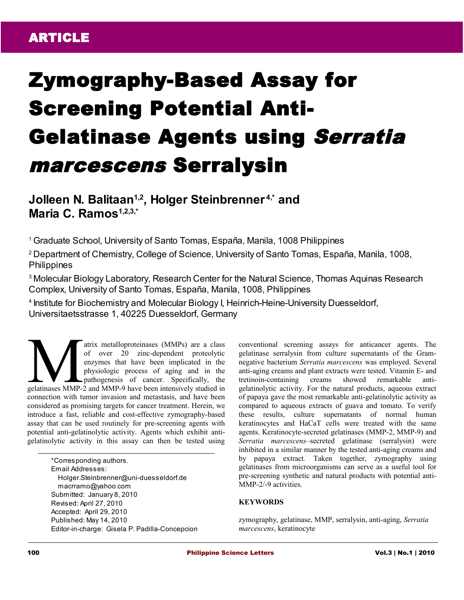# Zymography-Based Assay for Screening Potential Anti-Gelatinase Agents using Serratia marcescens Serralysin

**Jolleen N. Balitaan1,2, Holger Steinbrenner 4,\* and Maria C. Ramos1,2,3,\***

<sup>1</sup>Graduate School, University of Santo Tomas, España, Manila, 1008 Philippines

<sup>2</sup>Department of Chemistry, College of Science, University of Santo Tomas, España, Manila, 1008, **Philippines** 

<sup>3</sup> Molecular Biology Laboratory, Research Center for the Natural Science, Thomas Aquinas Research Complex, University of Santo Tomas, España, Manila, 1008, Philippines

<sup>4</sup> Institute for Biochemistry and Molecular Biology I, Heinrich-Heine-University Duesseldorf, Universitaetsstrasse 1, 40225 Duesseldorf, Germany

atrix metalloproteinases (MMPs) are a class of over 20 zinc-dependent proteolytic enzymes that have been implicated in the physiologic process of aging and in the pathogenesis of cancer. Specifically, the atrix metalloproteinases (MMPs) are a class<br>of over 20 zinc-dependent proteolytic<br>enzymes that have been implicated in the<br>physiologic process of aging and in the<br>gelatinases MMP-2 and MMP-9 have been intensively studied i connection with tumor invasion and metastasis, and have been considered as promising targets for cancer treatment. Herein, we introduce a fast, reliable and cost-effective zymography-based assay that can be used routinely for pre-screening agents with potential anti-gelatinolytic activity. Agents which exhibit antigelatinolytic activity in this assay can then be tested using

> \*Corresponding authors. Email Addresses: Holger.Steinbrenner@uni-duesseldorf.de macrramo@yahoo.com Submitted: January 8, 2010 Revised: April 27, 2010 Accepted: April 29, 2010 Published: May 14, 2010 Editor-in-charge: Gisela P. Padilla-Concepcion

conventional screening assays for anticancer agents. The gelatinase serralysin from culture supernatants of the Gramnegative bacterium *Serratia marcescens* was employed. Several anti-aging creams and plant extracts were tested. Vitamin E- and tretinoin-containing creams showed remarkable antigelatinolytic activity. For the natural products, aqueous extract of papaya gave the most remarkable anti-gelatinolytic activity as compared to aqueous extracts of guava and tomato. To verify these results, culture supernatants of normal human keratinocytes and HaCaT cells were treated with the same agents. Keratinocyte-secreted gelatinases (MMP-2, MMP-9) and *Serratia marcescens*–secreted gelatinase (serralysin) were inhibited in a similar manner by the tested anti-aging creams and by papaya extract*.* Taken together, zymography using gelatinases from microorganisms can serve as a useful tool for pre-screening synthetic and natural products with potential anti-MMP-2/-9 activities.

## **KEYWORDS**

zymography, gelatinase, MMP, serralysin, anti-aging, *Serratia marcescens*, keratinocyte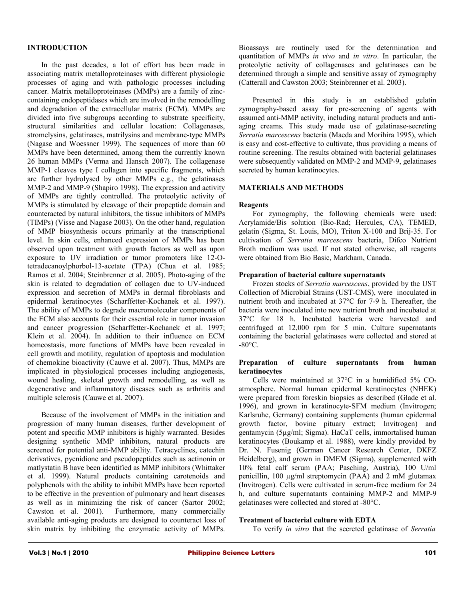## **INTRODUCTION**

In the past decades, a lot of effort has been made in associating matrix metalloproteinases with different physiologic processes of aging and with pathologic processes including cancer. Matrix metalloproteinases (MMPs) are a family of zinccontaining endopeptidases which are involved in the remodelling and degradation of the extracellular matrix (ECM). MMPs are divided into five subgroups according to substrate specificity, structural similarities and cellular location: Collagenases, stromelysins, gelatinases, matrilysins and membrane-type MMPs (Nagase and Woessner 1999). The sequences of more than 60 MMPs have been determined, among them the currently known 26 human MMPs (Verma and Hansch 2007). The collagenase MMP-1 cleaves type I collagen into specific fragments, which are further hydrolysed by other MMPs e.g., the gelatinases MMP-2 and MMP-9 (Shapiro 1998). The expression and activity of MMPs are tightly controlled. The proteolytic activity of MMPs is stimulated by cleavage of their propeptide domain and counteracted by natural inhibitors, the tissue inhibitors of MMPs (TIMPs) (Visse and Nagase 2003). On the other hand, regulation of MMP biosynthesis occurs primarily at the transcriptional level. In skin cells, enhanced expression of MMPs has been observed upon treatment with growth factors as well as upon exposure to UV irradiation or tumor promoters like 12-Otetradecanoylphorbol-13-acetate (TPA) (Chua et al. 1985; Ramos et al. 2004; Steinbrenner et al. 2005). Photo-aging of the skin is related to degradation of collagen due to UV-induced expression and secretion of MMPs in dermal fibroblasts and epidermal keratinocytes (Scharffetter-Kochanek et al. 1997). The ability of MMPs to degrade macromolecular components of the ECM also accounts for their essential role in tumor invasion and cancer progression (Scharffetter-Kochanek et al. 1997; Klein et al. 2004). In addition to their influence on ECM homeostasis, more functions of MMPs have been revealed in cell growth and motility, regulation of apoptosis and modulation of chemokine bioactivity (Cauwe et al. 2007). Thus, MMPs are implicated in physiological processes including angiogenesis, wound healing, skeletal growth and remodelling, as well as degenerative and inflammatory diseases such as arthritis and multiple sclerosis (Cauwe et al. 2007).

Because of the involvement of MMPs in the initiation and progression of many human diseases, further development of potent and specific MMP inhibitors is highly warranted. Besides designing synthetic MMP inhibitors, natural products are screened for potential anti-MMP ability. Tetracyclines, catechin derivatives, pycnidione and pseudopeptides such as actinonin or matlystatin B have been identified as MMP inhibitors (Whittaker et al. 1999). Natural products containing carotenoids and polyphenols with the ability to inhibit MMPs have been reported to be effective in the prevention of pulmonary and heart diseases as well as in minimizing the risk of cancer (Sartor 2002; Cawston et al. 2001). Furthermore, many commercially available anti-aging products are designed to counteract loss of skin matrix by inhibiting the enzymatic activity of MMPs.

Bioassays are routinely used for the determination and quantitation of MMPs *in vivo* and *in vitro*. In particular, the proteolytic activity of collagenases and gelatinases can be determined through a simple and sensitive assay of zymography (Catterall and Cawston 2003; Steinbrenner et al. 2003).

Presented in this study is an established gelatin zymography-based assay for pre-screening of agents with assumed anti-MMP activity, including natural products and antiaging creams. This study made use of gelatinase-secreting *Serratia marcescens* bacteria (Maeda and Morihira 1995), which is easy and cost-effective to cultivate, thus providing a means of routine screening. The results obtained with bacterial gelatinases were subsequently validated on MMP-2 and MMP-9, gelatinases secreted by human keratinocytes.

## **MATERIALS AND METHODS**

#### **Reagents**

For zymography, the following chemicals were used: Acrylamide/Bis solution (Bio-Rad; Hercules, CA), TEMED, gelatin (Sigma, St. Louis, MO), Triton X-100 and Brij-35. For cultivation of *Serratia marcescens* bacteria, Difco Nutrient Broth medium was used. If not stated otherwise, all reagents were obtained from Bio Basic, Markham, Canada.

#### **Preparation of bacterial culture supernatants**

Frozen stocks of *Serratia marcescens*, provided by the UST Collection of Microbial Strains (UST-CMS), were inoculated in nutrient broth and incubated at 37°C for 7-9 h. Thereafter, the bacteria were inoculated into new nutrient broth and incubated at 37°C for 18 h. Incubated bacteria were harvested and centrifuged at 12,000 rpm for 5 min. Culture supernatants containing the bacterial gelatinases were collected and stored at  $-80^{\circ}$ C.

#### **Preparation of culture supernatants from human keratinocytes**

Cells were maintained at  $37^{\circ}$ C in a humidified  $5\%$  CO<sub>2</sub> atmosphere. Normal human epidermal keratinocytes (NHEK) were prepared from foreskin biopsies as described (Glade et al. 1996), and grown in keratinocyte-SFM medium (Invitrogen; Karlsruhe, Germany) containing supplements (human epidermal growth factor, bovine pituary extract; Invitrogen) and gentamycin (5µg/ml; Sigma). HaCaT cells, immortalised human keratinocytes (Boukamp et al. 1988), were kindly provided by Dr. N. Fusenig (German Cancer Research Center, DKFZ Heidelberg), and grown in DMEM (Sigma), supplemented with 10% fetal calf serum (PAA; Pasching, Austria), 100 U/ml penicillin, 100 µg/ml streptomycin (PAA) and 2 mM glutamax (Invitrogen). Cells were cultivated in serum-free medium for 24 h, and culture supernatants containing MMP-2 and MMP-9 gelatinases were collected and stored at -80°C.

#### **Treatment of bacterial culture with EDTA**

To verify *in vitro* that the secreted gelatinase of *Serratia*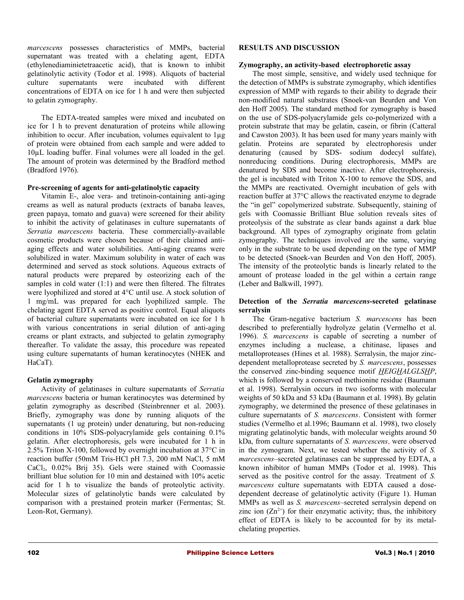*marcescens* possesses characteristics of MMPs, bacterial supernatant was treated with a chelating agent, EDTA (ethylenediaminietetraacetic acid), that is known to inhibit gelatinolytic activity (Todor et al. 1998). Aliquots of bacterial culture supernatants were incubated with different concentrations of EDTA on ice for 1 h and were then subjected to gelatin zymography.

The EDTA-treated samples were mixed and incubated on ice for 1 h to prevent denaturation of proteins while allowing inhibition to occur. After incubation, volumes equivalent to  $1\mu$ g of protein were obtained from each sample and were added to 10µL loading buffer. Final volumes were all loaded in the gel. The amount of protein was determined by the Bradford method (Bradford 1976).

## **Pre-screening of agents for anti-gelatinolytic capacity**

Vitamin E-, aloe vera- and tretinoin-containing anti-aging creams as well as natural products (extracts of banaba leaves, green papaya, tomato and guava) were screened for their ability to inhibit the activity of gelatinases in culture supernatants of *Serratia marcescens* bacteria. These commercially-available cosmetic products were chosen because of their claimed antiaging effects and water solubilities. Anti-aging creams were solubilized in water. Maximum solubility in water of each was determined and served as stock solutions. Aqueous extracts of natural products were prepared by osteorizing each of the samples in cold water (1:1) and were then filtered. The filtrates were lyophilized and stored at 4°C until use. A stock solution of 1 mg/mL was prepared for each lyophilized sample. The chelating agent EDTA served as positive control. Equal aliquots of bacterial culture supernatants were incubated on ice for 1 h with various concentrations in serial dilution of anti-aging creams or plant extracts, and subjected to gelatin zymography thereafter. To validate the assay, this procedure was repeated using culture supernatants of human keratinocytes (NHEK and HaCaT).

## **Gelatin zymography**

Activity of gelatinases in culture supernatants of *Serratia marcescens* bacteria or human keratinocytes was determined by gelatin zymography as described (Steinbrenner et al. 2003). Briefly, zymography was done by running aliquots of the supernatants (1 ug protein) under denaturing, but non-reducing conditions in 10% SDS-polyacrylamide gels containing 0.1% gelatin. After electrophoresis, gels were incubated for 1 h in 2.5% Triton X-100, followed by overnight incubation at 37°C in reaction buffer (50mM Tris-HCl pH 7.3, 200 mM NaCl, 5 mM CaCl2, 0.02% Brij 35). Gels were stained with Coomassie brilliant blue solution for 10 min and destained with 10% acetic acid for 1 h to visualize the bands of proteolytic activity. Molecular sizes of gelatinolytic bands were calculated by comparison with a prestained protein marker (Fermentas; St. Leon-Rot, Germany).

## **RESULTS AND DISCUSSION**

## **Zymography, an activity-based electrophoretic assay**

The most simple, sensitive, and widely used technique for the detection of MMPs is substrate zymography, which identifies expression of MMP with regards to their ability to degrade their non-modified natural substrates (Snoek-van Beurden and Von den Hoff 2005). The standard method for zymography is based on the use of SDS-polyacrylamide gels co-polymerized with a protein substrate that may be gelatin, casein, or fibrin (Catteral and Cawston 2003). It has been used for many years mainly with gelatin. Proteins are separated by electrophoresis under denaturing (caused by SDS- sodium dodecyl sulfate), nonreducing conditions. During electrophoresis, MMPs are denatured by SDS and become inactive. After electrophoresis, the gel is incubated with Triton X-100 to remove the SDS, and the MMPs are reactivated. Overnight incubation of gels with reaction buffer at 37°C allows the reactivated enzyme to degrade the "in gel" copolymerized substrate. Subsequently, staining of gels with Coomassie Brilliant Blue solution reveals sites of proteolysis of the substrate as clear bands against a dark blue background. All types of zymography originate from gelatin zymography. The techniques involved are the same, varying only in the substrate to be used depending on the type of MMP to be detected (Snoek-van Beurden and Von den Hoff, 2005). The intensity of the proteolytic bands is linearly related to the amount of protease loaded in the gel within a certain range (Leber and Balkwill, 1997).

## **Detection of the** *Serratia marcescens***-secreted gelatinase serralysin**

The Gram-negative bacterium *S. marcescens* has been described to preferentially hydrolyze gelatin (Vermelho et al. 1996). *S. marcescens* is capable of secreting a number of enzymes including a nuclease, a chitinase, lipases and metalloproteases (Hines et al. 1988). Serralysin, the major zincdependent metalloprotease secreted by *S. marcescens*, possesses the conserved zinc-binding sequence motif *HEIGHALGLSHP*, which is followed by a conserved methionine residue (Baumann et al. 1998). Serralysin occurs in two isoforms with molecular weights of 50 kDa and 53 kDa (Baumann et al. 1998). By gelatin zymography, we determined the presence of these gelatinases in culture supernatants of *S. marcescens*. Consistent with former studies (Vermelho et al.1996; Baumann et al. 1998), two closely migrating gelatinolytic bands, with molecular weights around 50 kDa, from culture supernatants of *S. marcescens*, were observed in the zymogram. Next, we tested whether the activity of *S. marcescens*–secreted gelatinases can be suppressed by EDTA, a known inhibitor of human MMPs (Todor et al. 1998). This served as the positive control for the assay. Treatment of *S. marcescens* culture supernatants with EDTA caused a dosedependent decrease of gelatinolytic activity (Figure 1). Human MMPs as well as *S. marcescens*–secreted serralysin depend on zinc ion  $(Zn^{2+})$  for their enzymatic activity; thus, the inhibitory effect of EDTA is likely to be accounted for by its metalchelating properties.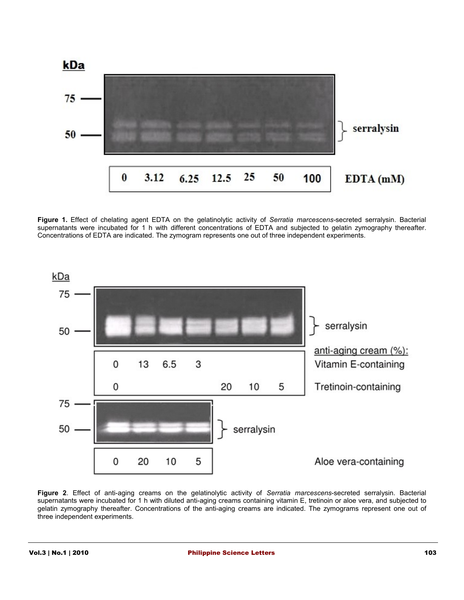

**Figure 1.** Effect of chelating agent EDTA on the gelatinolytic activity of *Serratia marcescens-*secreted serralysin. Bacterial supernatants were incubated for 1 h with different concentrations of EDTA and subjected to gelatin zymography thereafter. Concentrations of EDTA are indicated. The zymogram represents one out of three independent experiments.



**Figure 2**. Effect of anti-aging creams on the gelatinolytic activity of *Serratia marcescens*-secreted serralysin. Bacterial supernatants were incubated for 1 h with diluted anti-aging creams containing vitamin E, tretinoin or aloe vera, and subjected to gelatin zymography thereafter. Concentrations of the anti-aging creams are indicated. The zymograms represent one out of three independent experiments.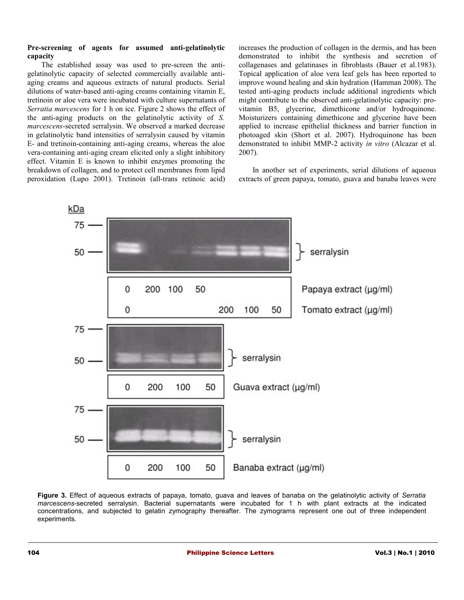#### **Pre-screening of agents for assumed anti-gelatinolytic capacity**

The established assay was used to pre-screen the antigelatinolytic capacity of selected commercially available antiaging creams and aqueous extracts of natural products. Serial dilutions of water-based anti-aging creams containing vitamin E, tretinoin or aloe vera were incubated with culture supernatants of *Serratia marcescens* for 1 h on ice. Figure 2 shows the effect of the anti-aging products on the gelatinolytic activity of *S. marcescens*-secreted serralysin. We observed a marked decrease in gelatinolytic band intensities of serralysin caused by vitamin E- and tretinoin-containing anti-aging creams, whereas the aloe vera-containing anti-aging cream elicited only a slight inhibitory effect. Vitamin E is known to inhibit enzymes promoting the breakdown of collagen, and to protect cell membranes from lipid peroxidation (Lupo 2001). Tretinoin (all-trans retinoic acid) increases the production of collagen in the dermis, and has been demonstrated to inhibit the synthesis and secretion of collagenases and gelatinases in fibroblasts (Bauer et al.1983). Topical application of aloe vera leaf gels has been reported to improve wound healing and skin hydration (Hamman 2008). The tested anti-aging products include additional ingredients which might contribute to the observed anti-gelatinolytic capacity: provitamin B5, glycerine, dimethicone and/or hydroquinone. Moisturizers containing dimethicone and glycerine have been applied to increase epithelial thickness and barrier function in photoaged skin (Short et al. 2007). Hydroquinone has been demonstrated to inhibit MMP-2 activity *in vitro* (Alcazar et al. 2007).

In another set of experiments, serial dilutions of aqueous extracts of green papaya, tomato, guava and banaba leaves were



**Figure 3.** Effect of aqueous extracts of papaya, tomato, guava and leaves of banaba on the gelatinolytic activity of *Serratia marcescens*-secreted serralysin. Bacterial supernatants were incubated for 1 h with plant extracts at the indicated concentrations, and subjected to gelatin zymography thereafter. The zymograms represent one out of three independent experiments.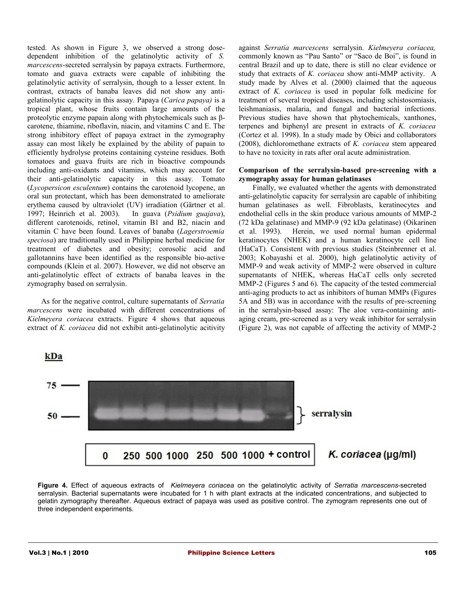tested. As shown in Figure 3, we observed a strong dosedependent inhibition of the gelatinolytic activity of *S. marcescens*-secreted serralysin by papaya extracts. Furthermore, tomato and guava extracts were capable of inhibiting the gelatinolytic activity of serralysin, though to a lesser extent. In contrast, extracts of banaba leaves did not show any antigelatinolytic capacity in this assay. Papaya (*Carica papaya)* is a tropical plant, whose fruits contain large amounts of the proteolytic enzyme papain along with phytochemicals such as βcarotene, thiamine, riboflavin, niacin, and vitamins C and E. The strong inhibitory effect of papaya extract in the zymography assay can most likely be explained by the ability of papain to efficiently hydrolyse proteins containing cysteine residues. Both tomatoes and guava fruits are rich in bioactive compounds including anti-oxidants and vitamins, which may account for their anti-gelatinolytic capacity in this assay. Tomato (*Lycopersicon esculentum*) contains the carotenoid lycopene, an oral sun protectant, which has been demonstrated to ameliorate erythema caused by ultraviolet (UV) irradiation (Gärtner et al. 1997; Heinrich et al. 2003). In guava (*Psidium guajava*), different carotenoids, retinol, vitamin B1 and B2, niacin and vitamin C have been found. Leaves of banaba (*Lagerstroemia speciosa*) are traditionally used in Philippine herbal medicine for treatment of diabetes and obesity; corosolic acid and gallotannins have been identified as the responsible bio-active compounds (Klein et al. 2007). However, we did not observe an anti-gelatinolytic effect of extracts of banaba leaves in the zymography based on serralysin.

As for the negative control, culture supernatants of *Serratia marcescens* were incubated with different concentrations of *Kielmeyera coriacea* extracts. Figure 4 shows that aqueous extract of *K. coriacea* did not exhibit anti-gelatinolytic acitivity against *Serratia marcescens* serralysin. *Kielmeyera coriacea,* commonly known as "Pau Santo" or "Saco de Boi", is found in central Brazil and up to date, there is still no clear evidence or study that extracts of *K. coriacea* show anti-MMP activity. A study made by Alves et al. (2000) claimed that the aqueous extract of *K. coriacea* is used in popular folk medicine for treatment of several tropical diseases, including schistosomiasis, leishmaniasis, malaria, and fungal and bacterial infections. Previous studies have shown that phytochemicals, xanthones, terpenes and biphenyl are present in extracts of *K. coriacea* (Cortez et al. 1998). In a study made by Obici and collaborators (2008), dichloromethane extracts of *K. coriacea* stem appeared to have no toxicity in rats after oral acute administration.

## **Comparison of the serralysin-based pre-screening with a zymography assay for human gelatinases**

Finally, we evaluated whether the agents with demonstrated anti-gelatinolytic capacity for serralysin are capable of inhibiting human gelatinases as well. Fibroblasts, keratinocytes and endothelial cells in the skin produce various amounts of MMP-2 (72 kDa gelatinase) and MMP-9 (92 kDa gelatinase) (Oikarinen et al. 1993). Herein, we used normal human epidermal keratinocytes (NHEK) and a human keratinocyte cell line (HaCaT). Consistent with previous studies (Steinbrenner et al. 2003; Kobayashi et al. 2000), high gelatinolytic activity of MMP-9 and weak activity of MMP-2 were observed in culture supernatants of NHEK, whereas HaCaT cells only secreted MMP-2 (Figures 5 and 6). The capacity of the tested commercial anti-aging products to act as inhibitors of human MMPs (Figures 5A and 5B) was in accordance with the results of pre-screening in the serralysin-based assay: The aloe vera-containing antiaging cream, pre-screened as a very weak inhibitor for serralysin (Figure 2), was not capable of affecting the activity of MMP-2

75 serralysin  $50.$ 250 500 1000 250 500 1000 + control K. coriacea (µg/ml)  $\bf{0}$ 

**Figure 4.** Effect of aqueous extracts of *Kielmeyera coriacea* on the gelatinolytic activity of *Serratia marcescens*-secreted serralysin. Bacterial supernatants were incubated for 1 h with plant extracts at the indicated concentrations, and subjected to gelatin zymography thereafter. Aqueous extract of papaya was used as positive control. The zymogram represents one out of three independent experiments.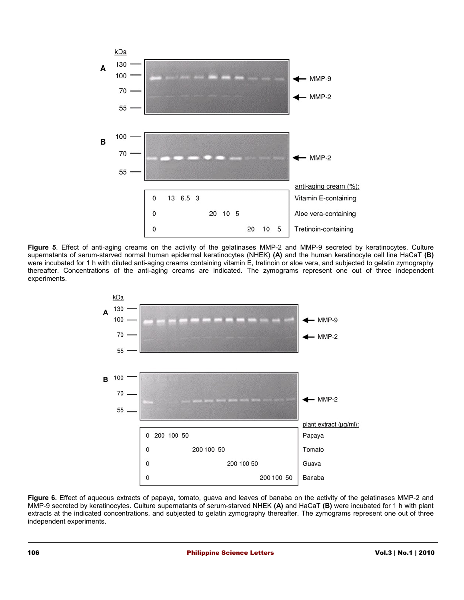

**Figure 5**. Effect of anti-aging creams on the activity of the gelatinases MMP-2 and MMP-9 secreted by keratinocytes. Culture supernatants of serum-starved normal human epidermal keratinocytes (NHEK) **(A)** and the human keratinocyte cell line HaCaT **(B)** were incubated for 1 h with diluted anti-aging creams containing vitamin E, tretinoin or aloe vera, and subjected to gelatin zymography thereafter. Concentrations of the anti-aging creams are indicated. The zymograms represent one out of three independent experiments.



**Figure 6.** Effect of aqueous extracts of papaya, tomato, guava and leaves of banaba on the activity of the gelatinases MMP-2 and MMP-9 secreted by keratinocytes. Culture supernatants of serum-starved NHEK **(A)** and HaCaT **(B)** were incubated for 1 h with plant extracts at the indicated concentrations, and subjected to gelatin zymography thereafter. The zymograms represent one out of three independent experiments.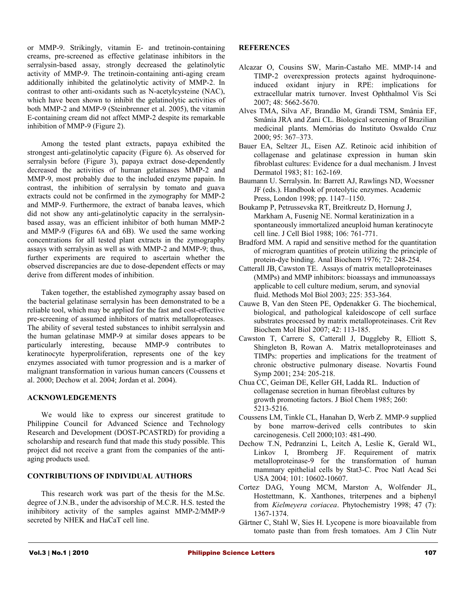or MMP-9. Strikingly, vitamin E- and tretinoin-containing creams, pre-screened as effective gelatinase inhibitors in the serralysin-based assay, strongly decreased the gelatinolytic activity of MMP-9. The tretinoin-containing anti-aging cream additionally inhibited the gelatinolytic activity of MMP-2. In contrast to other anti-oxidants such as N-acetylcysteine (NAC), which have been shown to inhibit the gelatinolytic activities of both MMP-2 and MMP-9 (Steinbrenner et al. 2005), the vitamin E-containing cream did not affect MMP-2 despite its remarkable inhibition of MMP-9 (Figure 2).

Among the tested plant extracts, papaya exhibited the strongest anti-gelatinolytic capacity (Figure 6). As observed for serralysin before (Figure 3), papaya extract dose-dependently decreased the activities of human gelatinases MMP-2 and MMP-9, most probably due to the included enzyme papain. In contrast, the inhibition of serralysin by tomato and guava extracts could not be confirmed in the zymography for MMP-2 and MMP-9. Furthermore, the extract of banaba leaves, which did not show any anti-gelatinolytic capacity in the serralysinbased assay, was an efficient inhibitor of both human MMP-2 and MMP-9 (Figures 6A and 6B). We used the same working concentrations for all tested plant extracts in the zymography assays with serralysin as well as with MMP-2 and MMP-9; thus, further experiments are required to ascertain whether the observed discrepancies are due to dose-dependent effects or may derive from different modes of inhibition.

Taken together, the established zymography assay based on the bacterial gelatinase serralysin has been demonstrated to be a reliable tool, which may be applied for the fast and cost-effective pre-screening of assumed inhibitors of matrix metalloproteases. The ability of several tested substances to inhibit serralysin and the human gelatinase MMP-9 at similar doses appears to be particularly interesting, because MMP-9 contributes to keratinocyte hyperproliferation, represents one of the key enzymes associated with tumor progression and is a marker of malignant transformation in various human cancers (Coussens et al. 2000; Dechow et al. 2004; Jordan et al. 2004).

# **ACKNOWLEDGEMENTS**

We would like to express our sincerest gratitude to Philippine Council for Advanced Science and Technology Research and Development (DOST-PCASTRD) for providing a scholarship and research fund that made this study possible. This project did not receive a grant from the companies of the antiaging products used.

# **CONTRIBUTIONS OF INDIVIDUAL AUTHORS**

This research work was part of the thesis for the M.Sc. degree of J.N.B., under the advisorship of M.C.R. H.S. tested the inihibitory activity of the samples against MMP-2/MMP-9 secreted by NHEK and HaCaT cell line.

## **REFERENCES**

- Alcazar O, Cousins SW, Marin-Castaño ME. MMP-14 and TIMP-2 overexpression protects against hydroquinoneinduced oxidant injury in RPE: implications for extracellular matrix turnover. Invest Ophthalmol Vis Sci 2007; 48: 5662-5670.
- Alves TMA, Silva AF, Brandão M, Grandi TSM, Smânia EF, Smânia JRA and Zani CL. Biological screening of Brazilian medicinal plants. Memórias do Instituto Oswaldo Cruz 2000; 95: 367–373.
- Bauer EA, Seltzer JL, Eisen AZ. Retinoic acid inhibition of collagenase and gelatinase expression in human skin fibroblast cultures: Evidence for a dual mechanism. J Invest Dermatol 1983; 81: 162-169.
- Baumann U. Serralysin. In: Barrett AJ, Rawlings ND, Woessner JF (eds.). Handbook of proteolytic enzymes. Academic Press, London 1998; pp. 1147–1150.
- Boukamp P, Petrussevska RT, Breitkreutz D, Hornung J, Markham A, Fusenig NE. Normal keratinization in a spontaneously immortalized aneuploid human keratinocyte cell line. J Cell Biol 1988; 106: 761-771.
- Bradford MM. A rapid and sensitive method for the quantitation of microgram quantities of protein utilizing the principle of protein-dye binding. Anal Biochem 1976; 72: 248-254.
- Catterall JB, Cawston TE. Assays of matrix metalloproteinases (MMPs) and MMP inhibitors: bioassays and immunoassays applicable to cell culture medium, serum, and synovial fluid. Methods Mol Biol 2003; 225: 353-364.
- Cauwe B, Van den Steen PE, Opdenakker G. The biochemical, biological, and pathological kaleidoscope of cell surface substrates processed by matrix metalloproteinases. Crit Rev Biochem Mol Biol 2007; 42: 113-185.
- Cawston T, Carrere S, Catterall J, Duggleby R, Elliott S, Shingleton B, Rowan A. Matrix metalloproteinases and TIMPs: properties and implications for the treatment of chronic obstructive pulmonary disease. Novartis Found Symp 2001; 234: 205-218.
- Chua CC, Geiman DE, Keller GH, Ladda RL. Induction of collagenase secretion in human fibroblast cultures by growth promoting factors. J Biol Chem 1985; 260: 5213-5216.
- Coussens LM, Tinkle CL, Hanahan D, Werb Z. MMP-9 supplied by bone marrow-derived cells contributes to skin carcinogenesis. Cell 2000;103: 481-490.
- Dechow T.N, Pedranzini L, Leitch A, Leslie K, Gerald WL, Linkov I, Bromberg JF. Requirement of matrix metalloproteinase-9 for the transformation of human mammary epithelial cells by Stat3-C. Proc Natl Acad Sci USA 2004; 101: 10602-10607.
- Cortez<sup>,</sup> DAG, Young MCM, Marston<sup>,</sup> A, Wolfender<sup>,</sup> JL, Hostettmann, K. Xanthones, triterpenes and a biphenyl from *Kielmeyera coriacea*. Phytochemistry 1998; 47 (7): 1367-1374.
- Gärtner C, Stahl W, Sies H. Lycopene is more bioavailable from tomato paste than from fresh tomatoes. Am J Clin Nutr